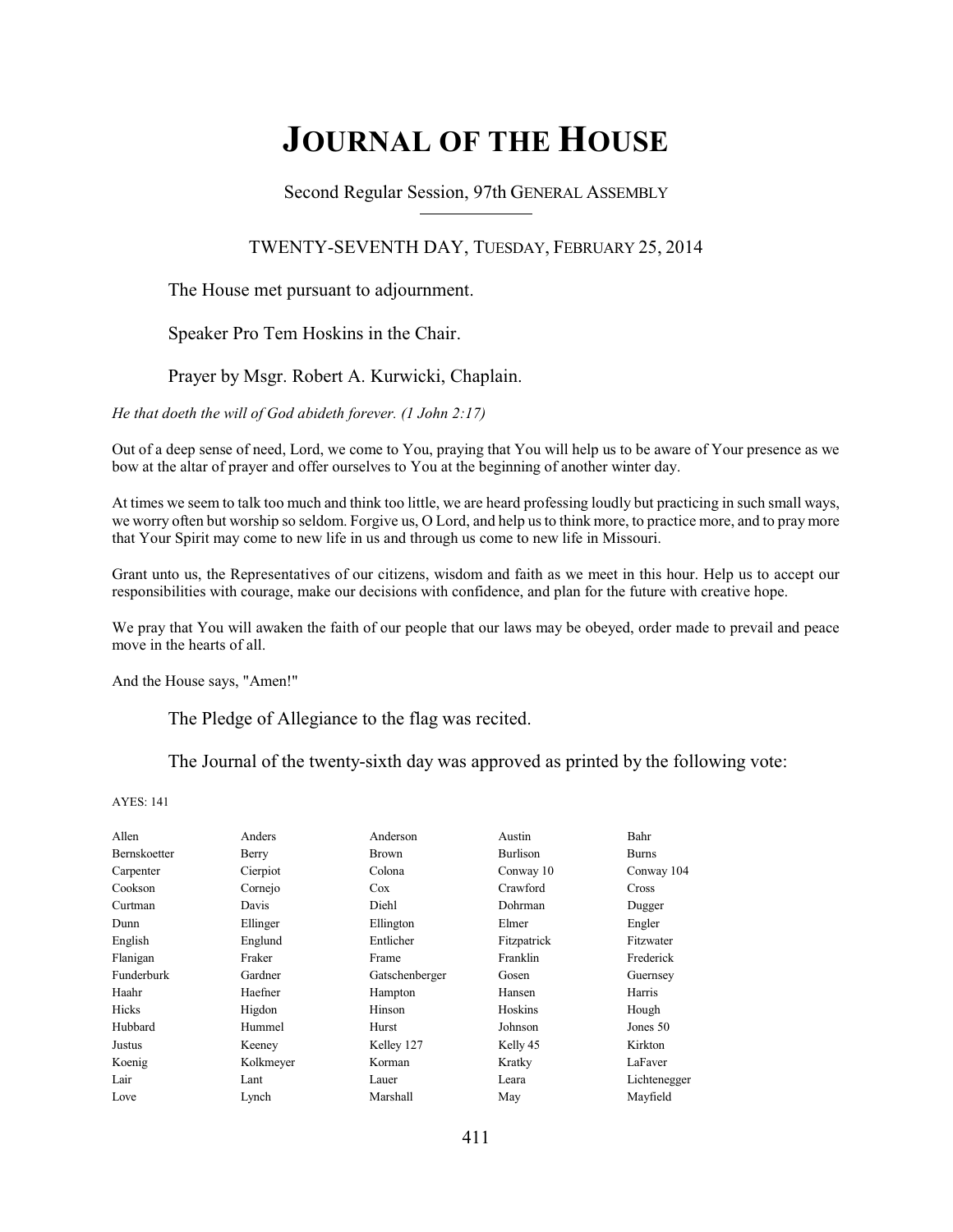# **JOURNAL OF THE HOUSE**

Second Regular Session, 97th GENERAL ASSEMBLY

#### TWENTY-SEVENTH DAY, TUESDAY, FEBRUARY 25, 2014

#### The House met pursuant to adjournment.

Speaker Pro Tem Hoskins in the Chair.

#### Prayer by Msgr. Robert A. Kurwicki, Chaplain.

*He that doeth the will of God abideth forever. (1 John 2:17)*

Out of a deep sense of need, Lord, we come to You, praying that You will help us to be aware of Your presence as we bow at the altar of prayer and offer ourselves to You at the beginning of another winter day.

At times we seem to talk too much and think too little, we are heard professing loudly but practicing in such small ways, we worry often but worship so seldom. Forgive us, O Lord, and help us to think more, to practice more, and to pray more that Your Spirit may come to new life in us and through us come to new life in Missouri.

Grant unto us, the Representatives of our citizens, wisdom and faith as we meet in this hour. Help us to accept our responsibilities with courage, make our decisions with confidence, and plan for the future with creative hope.

We pray that You will awaken the faith of our people that our laws may be obeyed, order made to prevail and peace move in the hearts of all.

And the House says, "Amen!"

The Pledge of Allegiance to the flag was recited.

The Journal of the twenty-sixth day was approved as printed by the following vote:

| Allen               | Anders    | Anderson       | Austin      | Bahr         |
|---------------------|-----------|----------------|-------------|--------------|
| <b>Bernskoetter</b> | Berry     | <b>Brown</b>   | Burlison    | <b>Burns</b> |
| Carpenter           | Cierpiot  | Colona         | Conway 10   | Conway 104   |
| Cookson             | Cornejo   | Cox            | Crawford    | Cross        |
| Curtman             | Davis     | Diehl          | Dohrman     | Dugger       |
| Dunn                | Ellinger  | Ellington      | Elmer       | Engler       |
| English             | Englund   | Entlicher      | Fitzpatrick | Fitzwater    |
| Flanigan            | Fraker    | Frame          | Franklin    | Frederick    |
| Funderburk          | Gardner   | Gatschenberger | Gosen       | Guernsey     |
| Haahr               | Haefner   | Hampton        | Hansen      | Harris       |
| Hicks               | Higdon    | Hinson         | Hoskins     | Hough        |
| Hubbard             | Hummel    | Hurst          | Johnson     | Jones 50     |
| Justus              | Keeney    | Kelley 127     | Kelly 45    | Kirkton      |
| Koenig              | Kolkmeyer | Korman         | Kratky      | LaFaver      |
| Lair                | Lant      | Lauer          | Leara       | Lichtenegger |
| Love                | Lynch     | Marshall       | May         | Mayfield     |
|                     |           |                |             |              |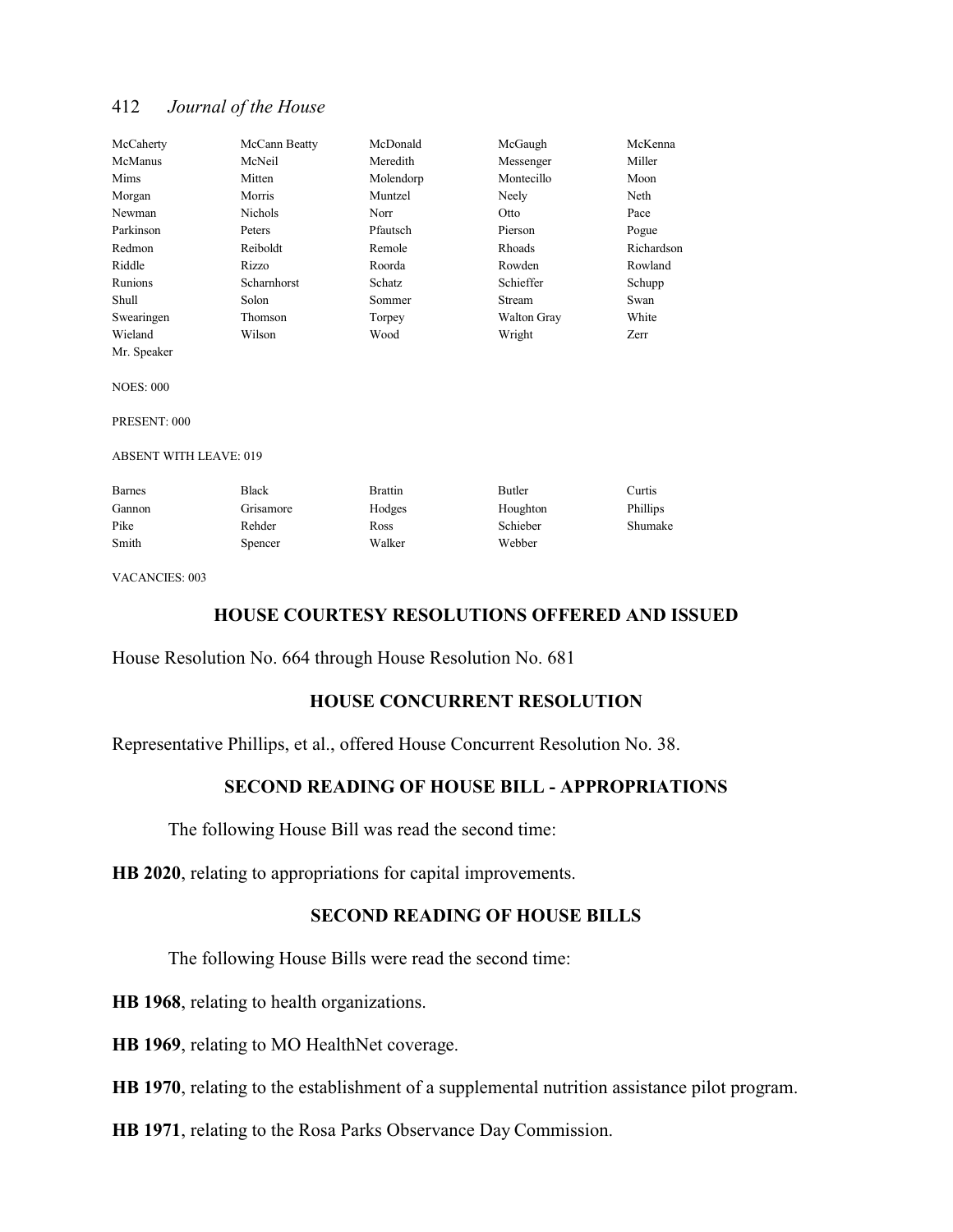| McCaherty  | McCann Beatty      | McDonald  | McGaugh            | McKenna    |
|------------|--------------------|-----------|--------------------|------------|
| McManus    | McNeil             | Meredith  | Messenger          | Miller     |
| Mims       | Mitten             | Molendorp | Montecillo         | Moon       |
| Morgan     | Morris             | Muntzel   | Neely              | Neth       |
| Newman     | <b>Nichols</b>     | Norr      | Otto               | Pace       |
| Parkinson  | Peters             | Pfautsch  | Pierson            | Pogue      |
| Redmon     | Reiboldt           | Remole    | Rhoads             | Richardson |
| Riddle     | Rizzo              | Roorda    | Rowden             | Rowland    |
| Runions    | <b>Scharnhorst</b> | Schatz    | Schieffer          | Schupp     |
| Shull      | Solon              | Sommer    | <b>Stream</b>      | Swan       |
| Swearingen | Thomson            | Torpey    | <b>Walton Gray</b> | White      |
| Wieland    | Wilson             | Wood      | Wright             | Zerr       |

NOES: 000

Mr. Speaker

PRESENT: 000

#### ABSENT WITH LEAVE: 019

| <b>Barnes</b> | Black     | <b>Brattin</b> | Butler   | Curtis   |
|---------------|-----------|----------------|----------|----------|
| Gannon        | Grisamore | Hodges         | Houghton | Phillips |
| Pike          | Rehder    | Ross           | Schieber | Shumake  |
| Smith         | Spencer   | Walker         | Webber   |          |

VACANCIES: 003

#### **HOUSE COURTESY RESOLUTIONS OFFERED AND ISSUED**

House Resolution No. 664 through House Resolution No. 681

#### **HOUSE CONCURRENT RESOLUTION**

Representative Phillips, et al., offered House Concurrent Resolution No. 38.

### **SECOND READING OF HOUSE BILL - APPROPRIATIONS**

The following House Bill was read the second time:

**HB 2020**, relating to appropriations for capital improvements.

#### **SECOND READING OF HOUSE BILLS**

The following House Bills were read the second time:

**HB 1968**, relating to health organizations.

**HB 1969**, relating to MO HealthNet coverage.

**HB 1970**, relating to the establishment of a supplemental nutrition assistance pilot program.

**HB 1971**, relating to the Rosa Parks Observance Day Commission.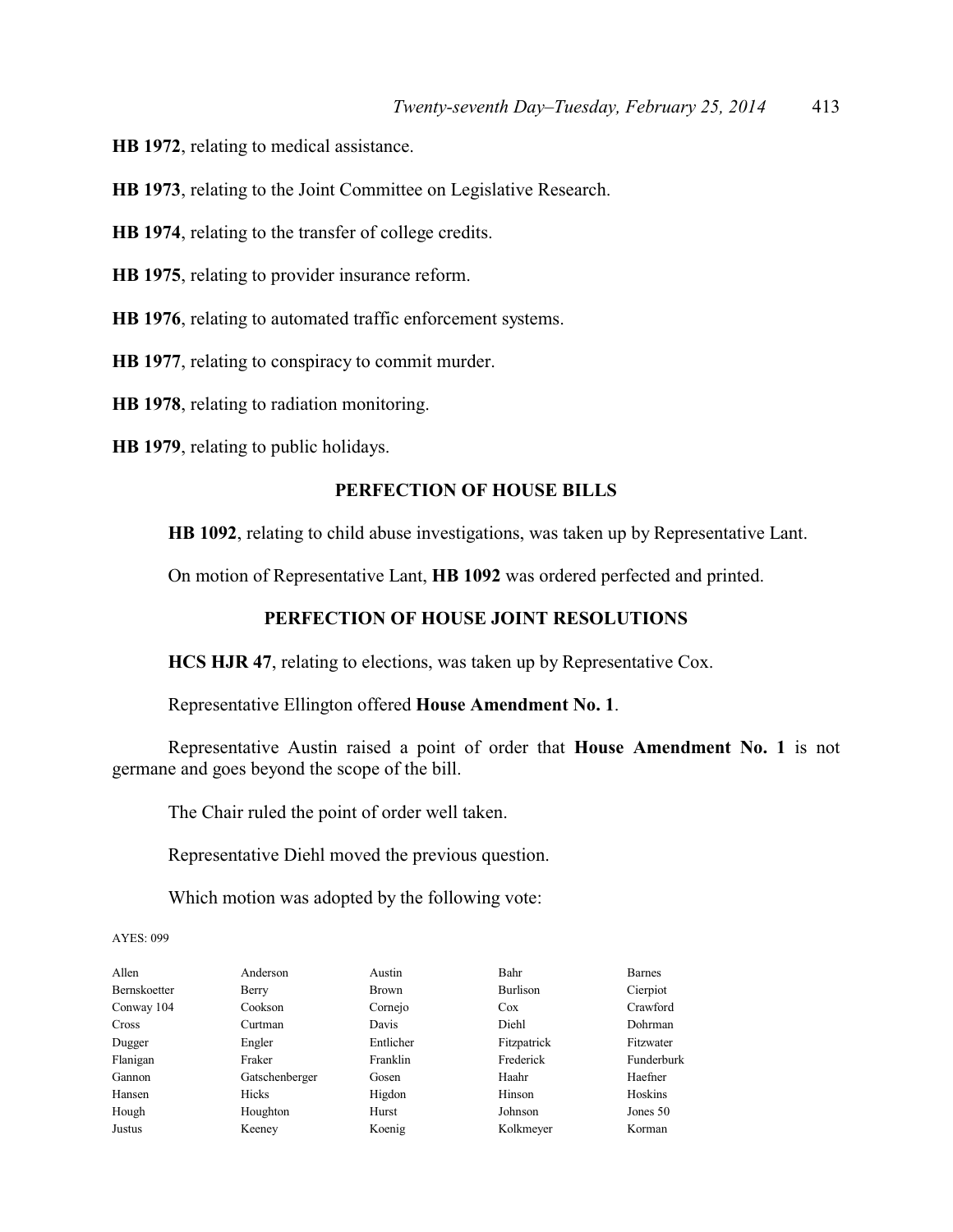**HB 1972**, relating to medical assistance.

**HB 1973**, relating to the Joint Committee on Legislative Research.

**HB 1974**, relating to the transfer of college credits.

**HB 1975**, relating to provider insurance reform.

**HB 1976**, relating to automated traffic enforcement systems.

**HB 1977**, relating to conspiracy to commit murder.

**HB 1978**, relating to radiation monitoring.

**HB 1979**, relating to public holidays.

#### **PERFECTION OF HOUSE BILLS**

**HB 1092**, relating to child abuse investigations, was taken up by Representative Lant.

On motion of Representative Lant, **HB 1092** was ordered perfected and printed.

#### **PERFECTION OF HOUSE JOINT RESOLUTIONS**

**HCS HJR 47**, relating to elections, was taken up by Representative Cox.

Representative Ellington offered **House Amendment No. 1**.

Representative Austin raised a point of order that **House Amendment No. 1** is not germane and goes beyond the scope of the bill.

The Chair ruled the point of order well taken.

Representative Diehl moved the previous question.

Which motion was adopted by the following vote:

| Allen        | Anderson       | Austin       | Bahr        | <b>Barnes</b> |
|--------------|----------------|--------------|-------------|---------------|
| Bernskoetter | Berry          | <b>Brown</b> | Burlison    | Cierpiot      |
| Conway 104   | Cookson        | Cornejo      | <b>Cox</b>  | Crawford      |
| Cross        | Curtman        | Davis        | Diehl       | Dohrman       |
| Dugger       | Engler         | Entlicher    | Fitzpatrick | Fitzwater     |
| Flanigan     | Fraker         | Franklin     | Frederick   | Funderburk    |
| Gannon       | Gatschenberger | Gosen        | Haahr       | Haefner       |
| Hansen       | Hicks          | Higdon       | Hinson      | Hoskins       |
| Hough        | Houghton       | Hurst        | Johnson     | Jones 50      |
| Justus       | Keeney         | Koenig       | Kolkmeyer   | Korman        |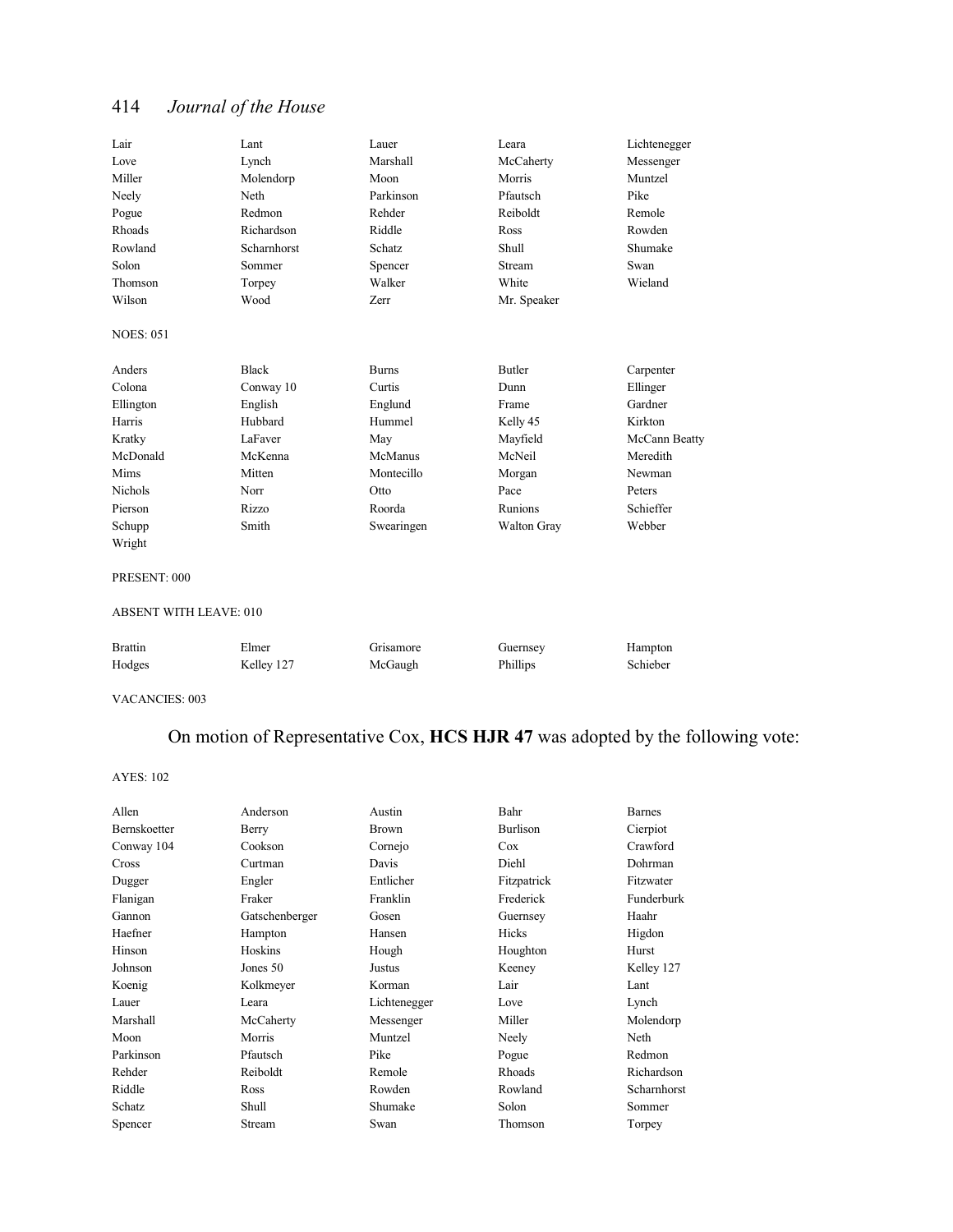| Lair                          | Lant         | Lauer        | Leara         | Lichtenegger  |
|-------------------------------|--------------|--------------|---------------|---------------|
| Love                          | Lynch        | Marshall     | McCaherty     | Messenger     |
| Miller                        | Molendorp    | Moon         | Morris        | Muntzel       |
| Neely                         | Neth         | Parkinson    | Pfautsch      | Pike          |
| Pogue                         | Redmon       | Rehder       | Reiboldt      | Remole        |
| Rhoads                        | Richardson   | Riddle       | Ross          | Rowden        |
| Rowland                       | Scharnhorst  | Schatz       | Shull         | Shumake       |
| Solon                         | Sommer       | Spencer      | Stream        | Swan          |
| Thomson                       | Torpey       | Walker       | White         | Wieland       |
| Wilson                        | Wood         | <b>Zerr</b>  | Mr. Speaker   |               |
| <b>NOES: 051</b>              |              |              |               |               |
| Anders                        | <b>Black</b> | <b>Burns</b> | <b>Butler</b> | Carpenter     |
| Colona                        | Conway 10    | Curtis       | Dunn          | Ellinger      |
| Ellington                     | English      | Englund      | Frame         | Gardner       |
| Harris                        | Hubbard      | Hummel       | Kelly 45      | Kirkton       |
| Kratky                        | LaFaver      | May          | Mayfield      | McCann Beatty |
| McDonald                      | McKenna      | McManus      | McNeil        | Meredith      |
| <b>Mims</b>                   | Mitten       | Montecillo   | Morgan        | Newman        |
| <b>Nichols</b>                | Norr         | Otto         | Pace          | Peters        |
| Pierson                       | <b>Rizzo</b> | Roorda       | Runions       | Schieffer     |
| Schupp                        | Smith        | Swearingen   | Walton Gray   | Webber        |
| Wright                        |              |              |               |               |
| PRESENT: 000                  |              |              |               |               |
| <b>ABSENT WITH LEAVE: 010</b> |              |              |               |               |
| <b>Brattin</b>                | Elmer        | Grisamore    | Guernsey      | Hampton       |
| Hodges                        | Kelley 127   | McGaugh      | Phillips      | Schieber      |

VACANCIES: 003

## On motion of Representative Cox, **HCS HJR 47** was adopted by the following vote:

| Allen        | Anderson       | Austin       | Bahr         | <b>Barnes</b> |
|--------------|----------------|--------------|--------------|---------------|
| Bernskoetter | Berry          | <b>Brown</b> | Burlison     | Cierpiot      |
| Conway 104   | Cookson        | Cornejo      | Cox          | Crawford      |
| Cross        | Curtman        | Davis        | Diehl        | Dohrman       |
| Dugger       | Engler         | Entlicher    | Fitzpatrick  | Fitzwater     |
| Flanigan     | Fraker         | Franklin     | Frederick    | Funderburk    |
| Gannon       | Gatschenberger | Gosen        | Guernsey     | Haahr         |
| Haefner      | Hampton        | Hansen       | <b>Hicks</b> | Higdon        |
| Hinson       | Hoskins        | Hough        | Houghton     | Hurst         |
| Johnson      | Jones 50       | Justus       | Keeney       | Kelley 127    |
| Koenig       | Kolkmeyer      | Korman       | Lair         | Lant          |
| Lauer        | Leara          | Lichtenegger | Love         | Lynch         |
| Marshall     | McCaherty      | Messenger    | Miller       | Molendorp     |
| Moon         | Morris         | Muntzel      | Neely        | Neth          |
| Parkinson    | Pfautsch       | Pike         | Pogue        | Redmon        |
| Rehder       | Reiboldt       | Remole       | Rhoads       | Richardson    |
| Riddle       | Ross           | Rowden       | Rowland      | Scharnhorst   |
| Schatz       | Shull          | Shumake      | Solon        | Sommer        |
| Spencer      | Stream         | Swan         | Thomson      | Torpey        |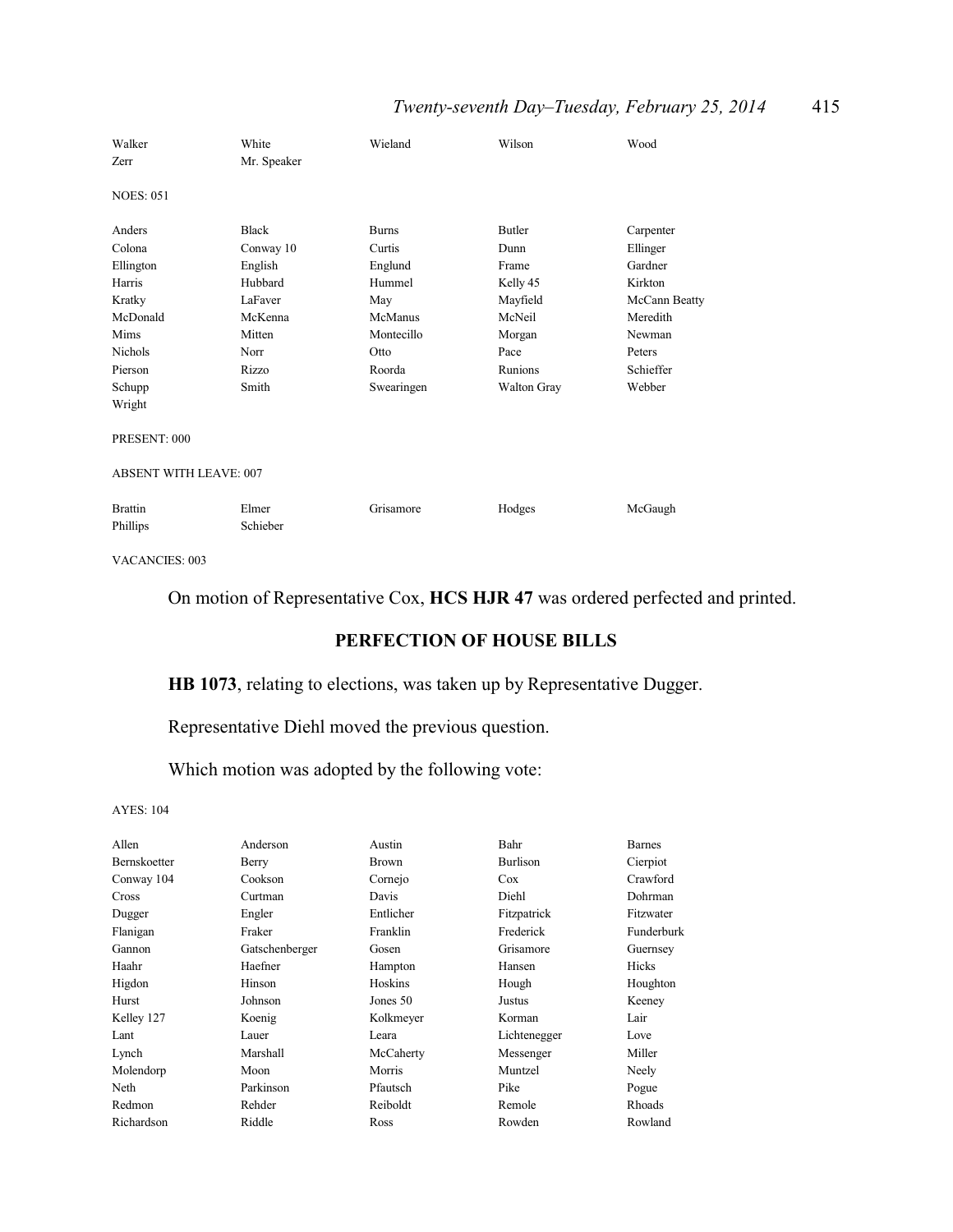## *Twenty-seventh Day–Tuesday, February 25, 2014* 415

| Walker<br>Zerr                | White<br>Mr. Speaker      | Wieland                | Wilson                | Wood                  |
|-------------------------------|---------------------------|------------------------|-----------------------|-----------------------|
| <b>NOES: 051</b>              |                           |                        |                       |                       |
| Anders<br>Colona              | <b>Black</b><br>Conway 10 | <b>Burns</b><br>Curtis | <b>Butler</b><br>Dunn | Carpenter<br>Ellinger |
| Ellington                     | English                   | Englund                | Frame                 | Gardner               |
| Harris                        | Hubbard                   | Hummel                 | Kelly 45              | Kirkton               |
| Kratky                        | LaFaver                   | May                    | Mayfield              | McCann Beatty         |
| McDonald                      | McKenna                   | McManus                | McNeil                | Meredith              |
| Mims                          | Mitten                    | Montecillo             | Morgan                | Newman                |
| <b>Nichols</b>                | Norr                      | Otto                   | Pace                  | Peters                |
| Pierson                       | Rizzo                     | Roorda                 | Runions               | Schieffer             |
| Schupp                        | Smith                     | Swearingen             | <b>Walton Gray</b>    | Webber                |
| Wright                        |                           |                        |                       |                       |
| PRESENT: 000                  |                           |                        |                       |                       |
| <b>ABSENT WITH LEAVE: 007</b> |                           |                        |                       |                       |
| <b>Brattin</b><br>Phillips    | Elmer<br>Schieber         | Grisamore              | Hodges                | McGaugh               |

VACANCIES: 003

## On motion of Representative Cox, **HCS HJR 47** was ordered perfected and printed.

## **PERFECTION OF HOUSE BILLS**

## **HB 1073**, relating to elections, was taken up by Representative Dugger.

Representative Diehl moved the previous question.

Which motion was adopted by the following vote:

| Allen        | Anderson       | Austin       | Bahr         | <b>Barnes</b> |
|--------------|----------------|--------------|--------------|---------------|
| Bernskoetter | Berry          | <b>Brown</b> | Burlison     | Cierpiot      |
| Conway 104   | Cookson        | Cornejo      | Cox          | Crawford      |
| Cross        | Curtman        | Davis        | Diehl        | Dohrman       |
| Dugger       | Engler         | Entlicher    | Fitzpatrick  | Fitzwater     |
| Flanigan     | Fraker         | Franklin     | Frederick    | Funderburk    |
| Gannon       | Gatschenberger | Gosen        | Grisamore    | Guernsey      |
| Haahr        | Haefner        | Hampton      | Hansen       | Hicks         |
| Higdon       | Hinson         | Hoskins      | Hough        | Houghton      |
| Hurst        | Johnson        | Jones 50     | Justus       | Keeney        |
| Kelley 127   | Koenig         | Kolkmeyer    | Korman       | Lair          |
| Lant         | Lauer          | Leara        | Lichtenegger | Love          |
| Lynch        | Marshall       | McCaherty    | Messenger    | Miller        |
| Molendorp    | Moon           | Morris       | Muntzel      | Neely         |
| Neth         | Parkinson      | Pfautsch     | Pike         | Pogue         |
| Redmon       | Rehder         | Reiboldt     | Remole       | Rhoads        |
| Richardson   | Riddle         | Ross         | Rowden       | Rowland       |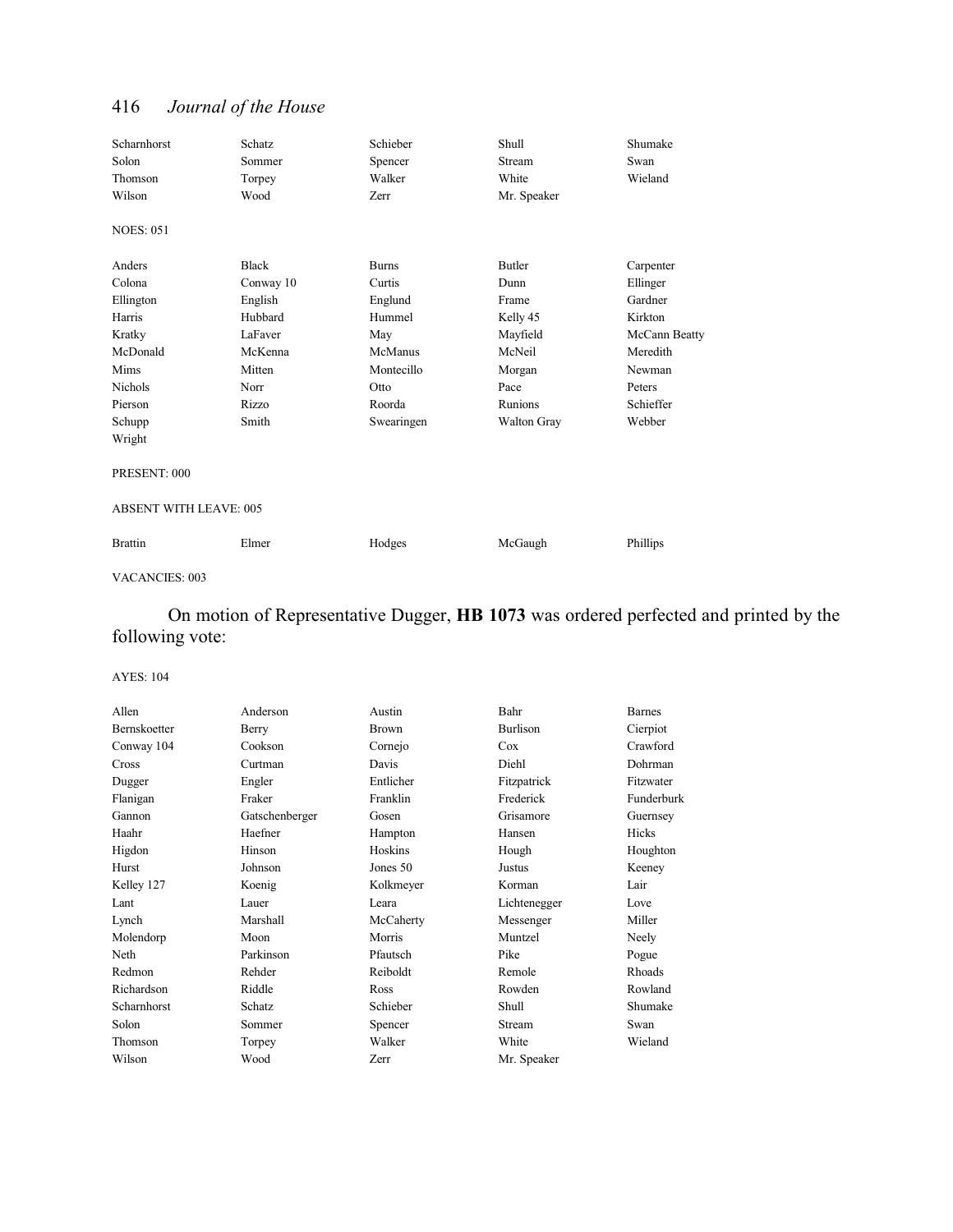| Scharnhorst                   | Schatz       | Schieber     | Shull         | Shumake       |
|-------------------------------|--------------|--------------|---------------|---------------|
| Solon                         | Sommer       | Spencer      | Stream        | Swan          |
| Thomson                       | Torpey       | Walker       | White         | Wieland       |
| Wilson                        | Wood         | Zerr         | Mr. Speaker   |               |
| <b>NOES: 051</b>              |              |              |               |               |
| Anders                        | <b>Black</b> | <b>Burns</b> | <b>Butler</b> | Carpenter     |
| Colona                        | Conway 10    | Curtis       | Dunn          | Ellinger      |
| Ellington                     | English      | Englund      | Frame         | Gardner       |
| Harris                        | Hubbard      | Hummel       | Kelly 45      | Kirkton       |
| Kratky                        | LaFaver      | May          | Mayfield      | McCann Beatty |
| McDonald                      | McKenna      | McManus      | McNeil        | Meredith      |
| Mims                          | Mitten       | Montecillo   | Morgan        | Newman        |
| <b>Nichols</b>                | Norr         | Otto         | Pace          | Peters        |
| Pierson                       | <b>Rizzo</b> | Roorda       | Runions       | Schieffer     |
| Schupp                        | Smith        | Swearingen   | Walton Gray   | Webber        |
| Wright                        |              |              |               |               |
| PRESENT: 000                  |              |              |               |               |
| <b>ABSENT WITH LEAVE: 005</b> |              |              |               |               |
| <b>Brattin</b>                | Elmer        | Hodges       | McGaugh       | Phillips      |

#### VACANCIES: 003

On motion of Representative Dugger, **HB 1073** was ordered perfected and printed by the following vote:

| Anderson       | Austin       | Bahr         | <b>Barnes</b> |
|----------------|--------------|--------------|---------------|
| Berry          | <b>Brown</b> | Burlison     | Cierpiot      |
| Cookson        | Cornejo      | Cox          | Crawford      |
| Curtman        | Davis        | Diehl        | Dohrman       |
| Engler         | Entlicher    | Fitzpatrick  | Fitzwater     |
| Fraker         | Franklin     | Frederick    | Funderburk    |
| Gatschenberger | Gosen        | Grisamore    | Guernsey      |
| Haefner        | Hampton      | Hansen       | Hicks         |
| Hinson         | Hoskins      | Hough        | Houghton      |
| Johnson        | Jones 50     | Justus       | Keeney        |
| Koenig         | Kolkmeyer    | Korman       | Lair          |
| Lauer          | Leara        | Lichtenegger | Love          |
| Marshall       | McCaherty    | Messenger    | Miller        |
| Moon           | Morris       | Muntzel      | Neely         |
| Parkinson      | Pfautsch     | Pike         | Pogue         |
| Rehder         | Reiboldt     | Remole       | Rhoads        |
| Riddle         | Ross         | Rowden       | Rowland       |
| Schatz         | Schieber     | Shull        | Shumake       |
| Sommer         | Spencer      | Stream       | Swan          |
| Torpey         | Walker       | White        | Wieland       |
| Wood           | Zerr         | Mr. Speaker  |               |
|                |              |              |               |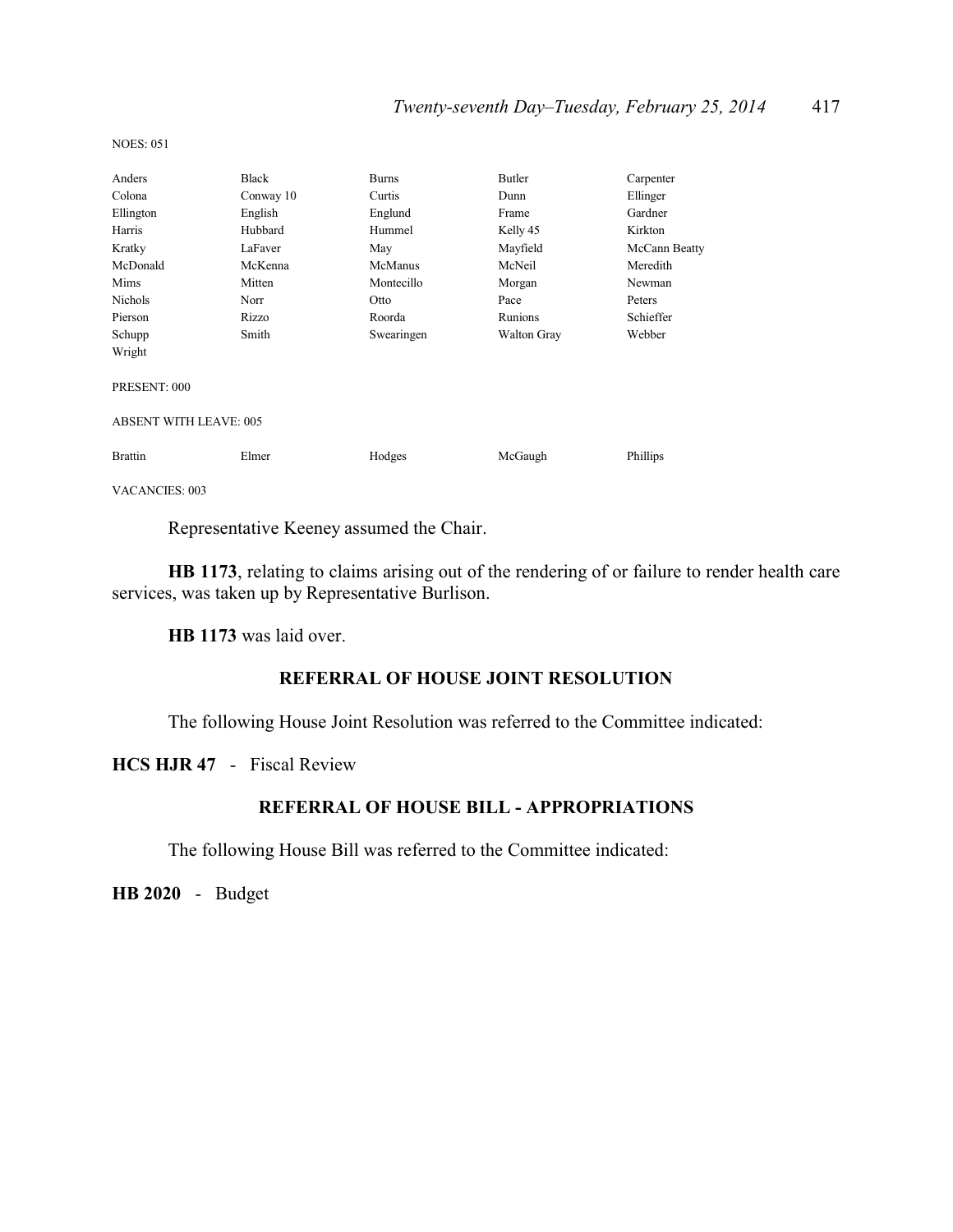| Anders                        | <b>Black</b> | <b>Burns</b> | Butler      | Carpenter     |
|-------------------------------|--------------|--------------|-------------|---------------|
| Colona                        | Conway 10    | Curtis       | Dunn        | Ellinger      |
| Ellington                     | English      | Englund      | Frame       | Gardner       |
| Harris                        | Hubbard      | Hummel       | Kelly 45    | Kirkton       |
| Kratky                        | LaFaver      | May          | Mayfield    | McCann Beatty |
| McDonald                      | McKenna      | McManus      | McNeil      | Meredith      |
| Mims                          | Mitten       | Montecillo   | Morgan      | Newman        |
| <b>Nichols</b>                | Norr         | Otto         | Pace        | Peters        |
| Pierson                       | Rizzo        | Roorda       | Runions     | Schieffer     |
| Schupp                        | Smith        | Swearingen   | Walton Gray | Webber        |
| Wright                        |              |              |             |               |
| PRESENT: 000                  |              |              |             |               |
| <b>ABSENT WITH LEAVE: 005</b> |              |              |             |               |
| <b>Brattin</b>                | Elmer        | Hodges       | McGaugh     | Phillips      |
| VACANCIES: 003                |              |              |             |               |

NOES: 051

Representative Keeney assumed the Chair.

**HB 1173**, relating to claims arising out of the rendering of or failure to render health care services, was taken up by Representative Burlison.

**HB 1173** was laid over.

## **REFERRAL OF HOUSE JOINT RESOLUTION**

The following House Joint Resolution was referred to the Committee indicated:

**HCS HJR 47** - Fiscal Review

## **REFERRAL OF HOUSE BILL - APPROPRIATIONS**

The following House Bill was referred to the Committee indicated:

**HB 2020** - Budget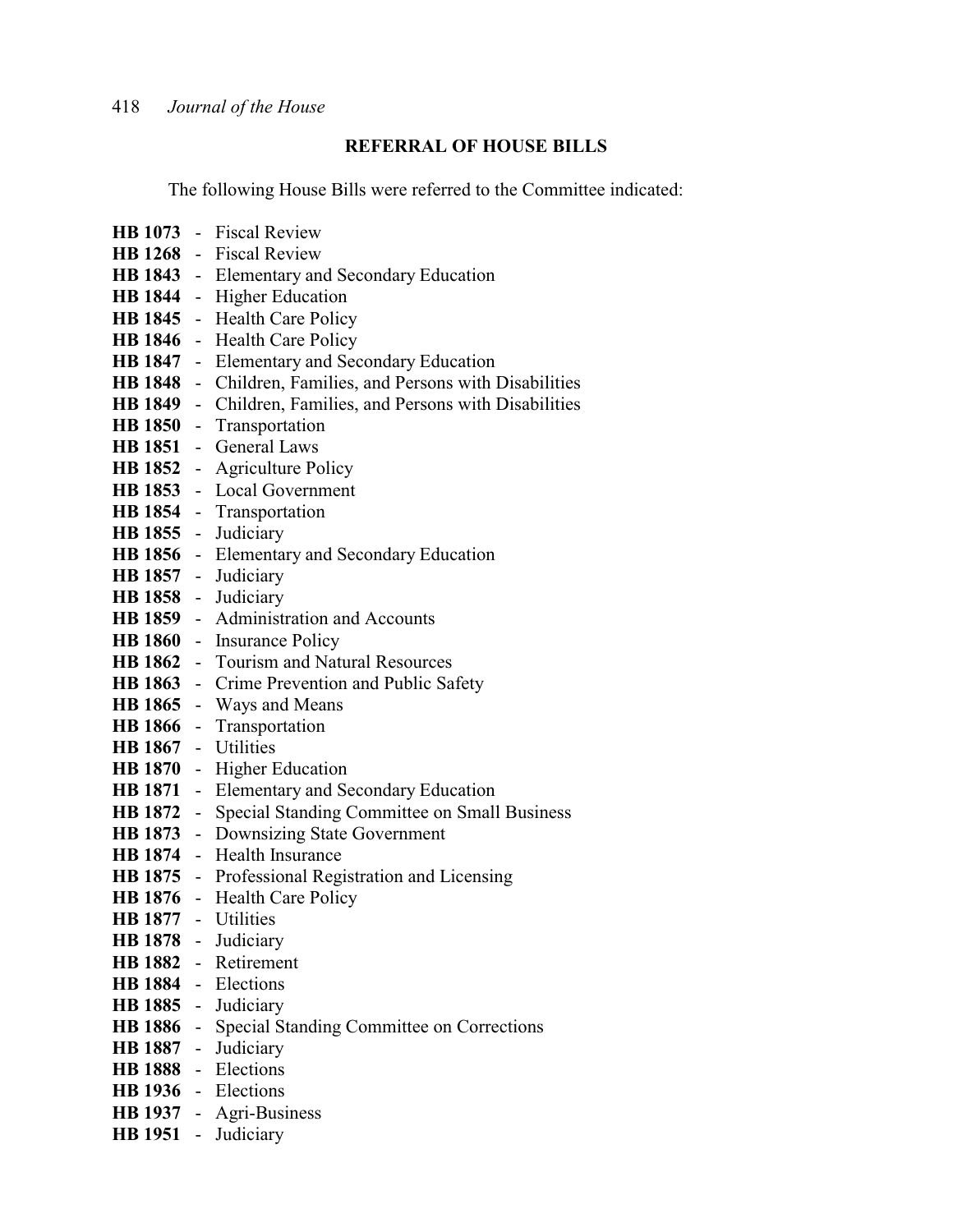## **REFERRAL OF HOUSE BILLS**

The following House Bills were referred to the Committee indicated:

|                     |                | HB 1073 - Fiscal Review                                  |
|---------------------|----------------|----------------------------------------------------------|
|                     |                | HB 1268 - Fiscal Review                                  |
|                     |                | <b>HB 1843</b> - Elementary and Secondary Education      |
| <b>HB</b> 1844      |                | - Higher Education                                       |
| <b>HB</b> 1845      |                | - Health Care Policy                                     |
| <b>HB</b> 1846      |                | - Health Care Policy                                     |
| <b>HB 1847</b>      |                | - Elementary and Secondary Education                     |
| <b>HB</b> 1848      |                | - Children, Families, and Persons with Disabilities      |
| <b>HB</b> 1849      |                | - Children, Families, and Persons with Disabilities      |
| <b>HB 1850</b>      |                | - Transportation                                         |
| <b>HB 1851</b>      |                | - General Laws                                           |
| <b>HB</b> 1852      |                | - Agriculture Policy                                     |
| <b>HB</b> 1853      |                | - Local Government                                       |
|                     |                | HB 1854 - Transportation                                 |
| HB 1855 - Judiciary |                |                                                          |
|                     |                | <b>HB 1856</b> - Elementary and Secondary Education      |
| <b>HB 1857</b>      |                | - Judiciary                                              |
| <b>HB</b> 1858      |                | - Judiciary                                              |
| <b>HB 1859</b>      |                | - Administration and Accounts                            |
|                     |                | HB 1860 - Insurance Policy                               |
|                     |                | <b>HB 1862</b> - Tourism and Natural Resources           |
| <b>HB</b> 1863      |                | - Crime Prevention and Public Safety                     |
| <b>HB</b> 1865      |                | - Ways and Means                                         |
| <b>HB</b> 1866      |                | - Transportation                                         |
| <b>HB 1867</b>      |                | - Utilities                                              |
| <b>HB 1870</b>      |                | - Higher Education                                       |
| <b>HB</b> 1871      | $\sim$ $^{-1}$ | Elementary and Secondary Education                       |
| <b>HB 1872</b>      |                | - Special Standing Committee on Small Business           |
| <b>HB</b> 1873      |                | - Downsizing State Government                            |
| <b>HB</b> 1874      |                | - Health Insurance                                       |
|                     |                | <b>HB 1875</b> - Professional Registration and Licensing |
|                     |                | HB 1876 - Health Care Policy                             |
| HB 1877 - Utilities |                |                                                          |
| HB 1878 - Judiciary |                |                                                          |
|                     |                | HB 1882 - Retirement                                     |
|                     |                | HB 1884 - Elections                                      |
|                     |                | HB 1885 - Judiciary                                      |
|                     |                | HB 1886 - Special Standing Committee on Corrections      |
|                     |                | HB 1887 - Judiciary<br>HB 1888 - Elections               |
|                     |                | HB 1936 - Elections                                      |
|                     |                | HB 1937 - Agri-Business                                  |
| HB 1951 -           |                |                                                          |
|                     |                | Judiciary                                                |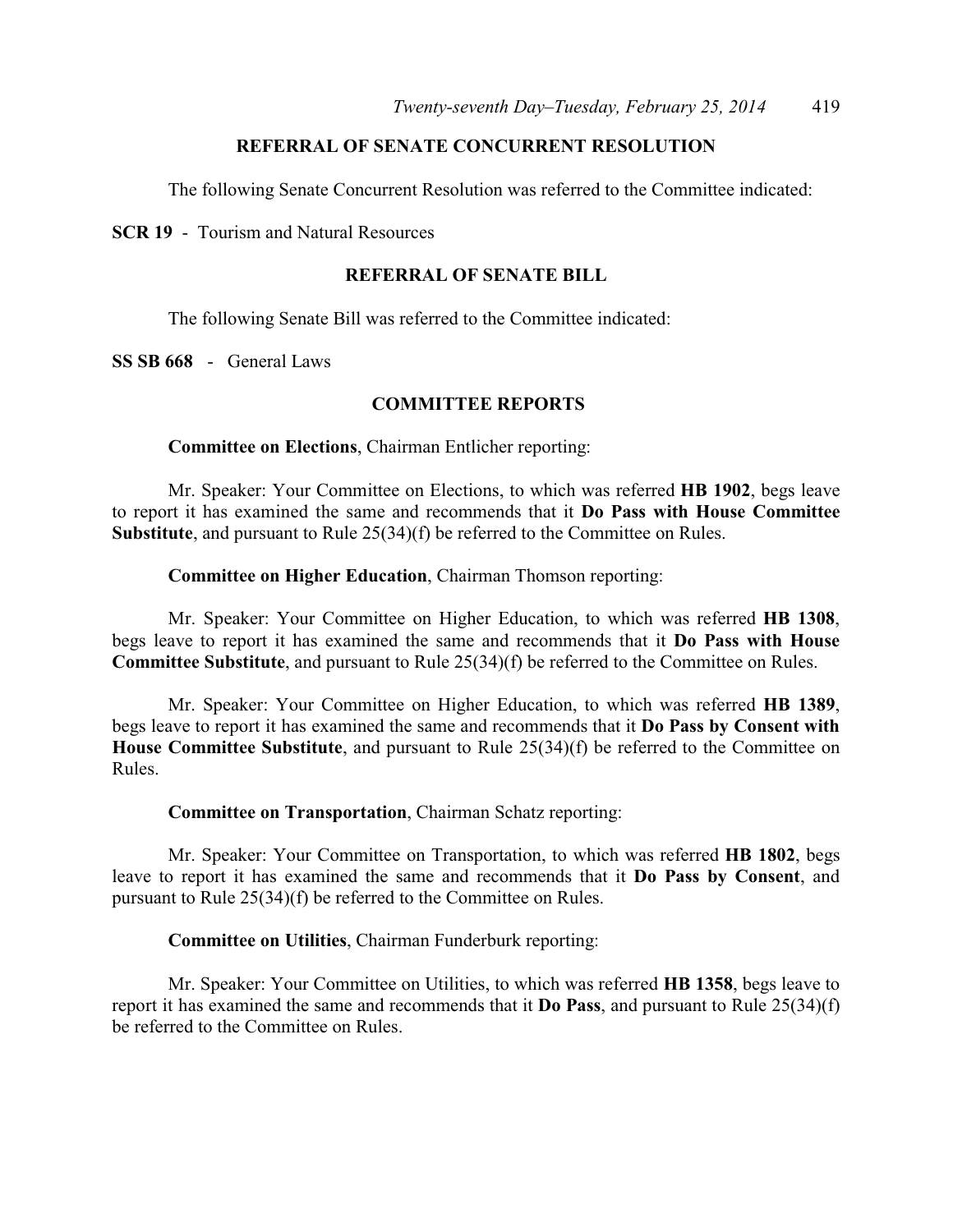## **REFERRAL OF SENATE CONCURRENT RESOLUTION**

The following Senate Concurrent Resolution was referred to the Committee indicated:

**SCR 19** - Tourism and Natural Resources

#### **REFERRAL OF SENATE BILL**

The following Senate Bill was referred to the Committee indicated:

**SS SB 668** - General Laws

#### **COMMITTEE REPORTS**

**Committee on Elections**, Chairman Entlicher reporting:

Mr. Speaker: Your Committee on Elections, to which was referred **HB 1902**, begs leave to report it has examined the same and recommends that it **Do Pass with House Committee Substitute**, and pursuant to Rule 25(34)(f) be referred to the Committee on Rules.

**Committee on Higher Education**, Chairman Thomson reporting:

Mr. Speaker: Your Committee on Higher Education, to which was referred **HB 1308**, begs leave to report it has examined the same and recommends that it **Do Pass with House Committee Substitute**, and pursuant to Rule 25(34)(f) be referred to the Committee on Rules.

Mr. Speaker: Your Committee on Higher Education, to which was referred **HB 1389**, begs leave to report it has examined the same and recommends that it **Do Pass by Consent with House Committee Substitute**, and pursuant to Rule 25(34)(f) be referred to the Committee on Rules.

**Committee on Transportation**, Chairman Schatz reporting:

Mr. Speaker: Your Committee on Transportation, to which was referred **HB 1802**, begs leave to report it has examined the same and recommends that it **Do Pass by Consent**, and pursuant to Rule 25(34)(f) be referred to the Committee on Rules.

**Committee on Utilities**, Chairman Funderburk reporting:

Mr. Speaker: Your Committee on Utilities, to which was referred **HB 1358**, begs leave to report it has examined the same and recommends that it **Do Pass**, and pursuant to Rule 25(34)(f) be referred to the Committee on Rules.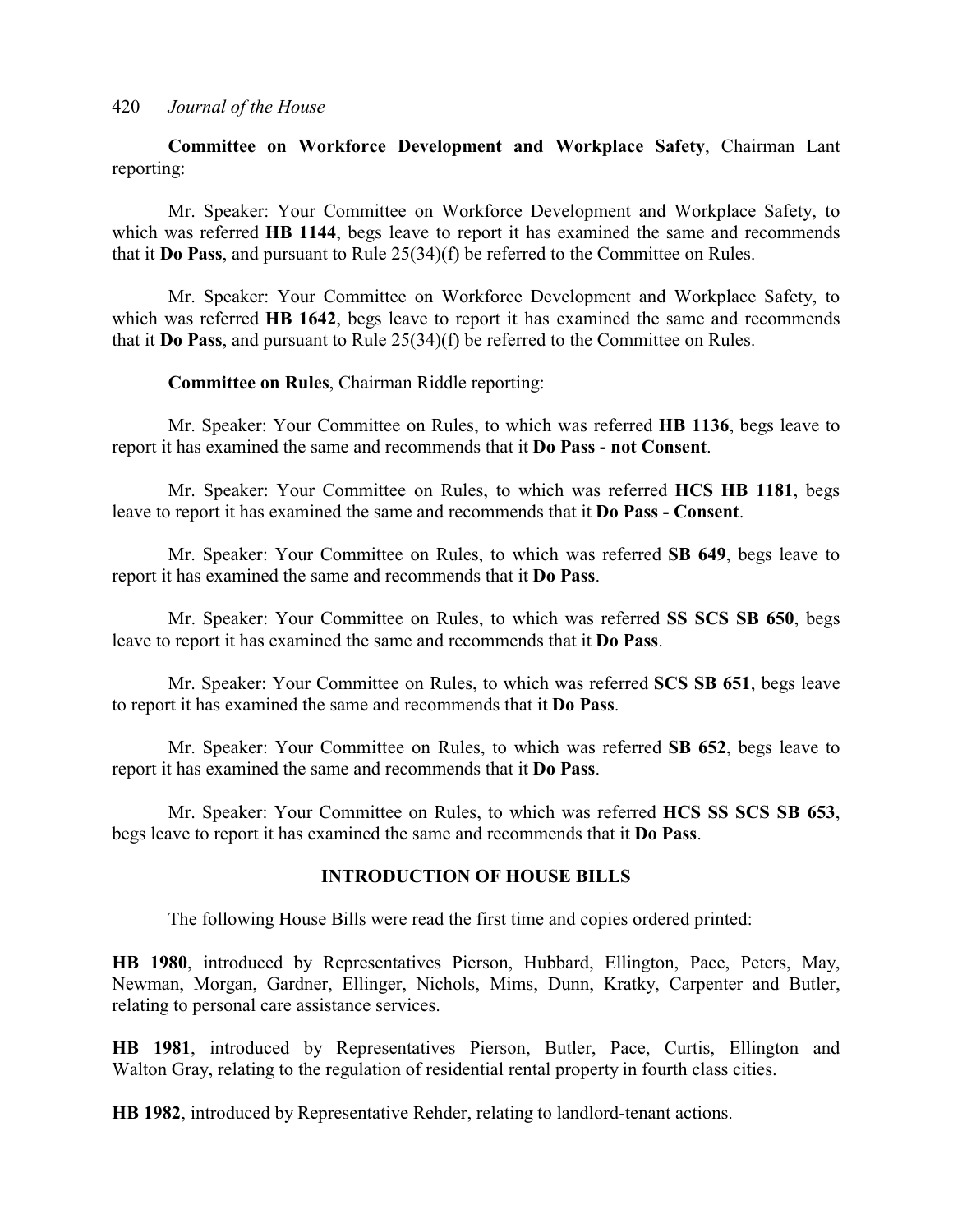**Committee on Workforce Development and Workplace Safety**, Chairman Lant reporting:

Mr. Speaker: Your Committee on Workforce Development and Workplace Safety, to which was referred **HB 1144**, begs leave to report it has examined the same and recommends that it **Do Pass**, and pursuant to Rule 25(34)(f) be referred to the Committee on Rules.

Mr. Speaker: Your Committee on Workforce Development and Workplace Safety, to which was referred **HB 1642**, begs leave to report it has examined the same and recommends that it **Do Pass**, and pursuant to Rule 25(34)(f) be referred to the Committee on Rules.

**Committee on Rules**, Chairman Riddle reporting:

Mr. Speaker: Your Committee on Rules, to which was referred **HB 1136**, begs leave to report it has examined the same and recommends that it **Do Pass - not Consent**.

Mr. Speaker: Your Committee on Rules, to which was referred **HCS HB 1181**, begs leave to report it has examined the same and recommends that it **Do Pass - Consent**.

Mr. Speaker: Your Committee on Rules, to which was referred **SB 649**, begs leave to report it has examined the same and recommends that it **Do Pass**.

Mr. Speaker: Your Committee on Rules, to which was referred **SS SCS SB 650**, begs leave to report it has examined the same and recommends that it **Do Pass**.

Mr. Speaker: Your Committee on Rules, to which was referred **SCS SB 651**, begs leave to report it has examined the same and recommends that it **Do Pass**.

Mr. Speaker: Your Committee on Rules, to which was referred **SB 652**, begs leave to report it has examined the same and recommends that it **Do Pass**.

Mr. Speaker: Your Committee on Rules, to which was referred **HCS SS SCS SB 653**, begs leave to report it has examined the same and recommends that it **Do Pass**.

#### **INTRODUCTION OF HOUSE BILLS**

The following House Bills were read the first time and copies ordered printed:

**HB 1980**, introduced by Representatives Pierson, Hubbard, Ellington, Pace, Peters, May, Newman, Morgan, Gardner, Ellinger, Nichols, Mims, Dunn, Kratky, Carpenter and Butler, relating to personal care assistance services.

**HB 1981**, introduced by Representatives Pierson, Butler, Pace, Curtis, Ellington and Walton Gray, relating to the regulation of residential rental property in fourth class cities.

**HB 1982**, introduced by Representative Rehder, relating to landlord-tenant actions.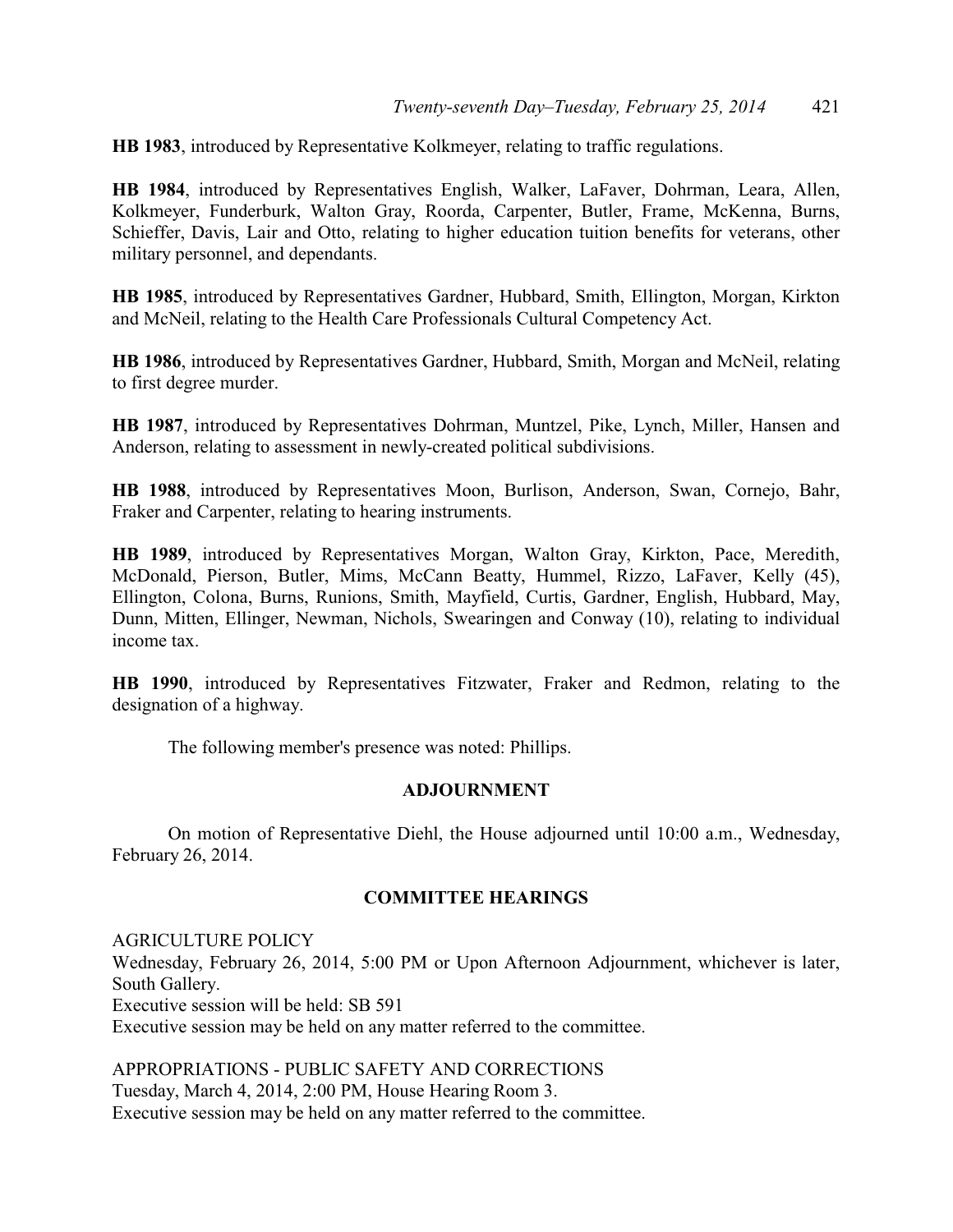**HB 1983**, introduced by Representative Kolkmeyer, relating to traffic regulations.

**HB 1984**, introduced by Representatives English, Walker, LaFaver, Dohrman, Leara, Allen, Kolkmeyer, Funderburk, Walton Gray, Roorda, Carpenter, Butler, Frame, McKenna, Burns, Schieffer, Davis, Lair and Otto, relating to higher education tuition benefits for veterans, other military personnel, and dependants.

**HB 1985**, introduced by Representatives Gardner, Hubbard, Smith, Ellington, Morgan, Kirkton and McNeil, relating to the Health Care Professionals Cultural Competency Act.

**HB 1986**, introduced by Representatives Gardner, Hubbard, Smith, Morgan and McNeil, relating to first degree murder.

**HB 1987**, introduced by Representatives Dohrman, Muntzel, Pike, Lynch, Miller, Hansen and Anderson, relating to assessment in newly-created political subdivisions.

**HB 1988**, introduced by Representatives Moon, Burlison, Anderson, Swan, Cornejo, Bahr, Fraker and Carpenter, relating to hearing instruments.

**HB 1989**, introduced by Representatives Morgan, Walton Gray, Kirkton, Pace, Meredith, McDonald, Pierson, Butler, Mims, McCann Beatty, Hummel, Rizzo, LaFaver, Kelly (45), Ellington, Colona, Burns, Runions, Smith, Mayfield, Curtis, Gardner, English, Hubbard, May, Dunn, Mitten, Ellinger, Newman, Nichols, Swearingen and Conway (10), relating to individual income tax.

**HB 1990**, introduced by Representatives Fitzwater, Fraker and Redmon, relating to the designation of a highway.

The following member's presence was noted: Phillips.

#### **ADJOURNMENT**

On motion of Representative Diehl, the House adjourned until 10:00 a.m., Wednesday, February 26, 2014.

#### **COMMITTEE HEARINGS**

AGRICULTURE POLICY Wednesday, February 26, 2014, 5:00 PM or Upon Afternoon Adjournment, whichever is later, South Gallery. Executive session will be held: SB 591 Executive session may be held on any matter referred to the committee.

APPROPRIATIONS - PUBLIC SAFETY AND CORRECTIONS Tuesday, March 4, 2014, 2:00 PM, House Hearing Room 3. Executive session may be held on any matter referred to the committee.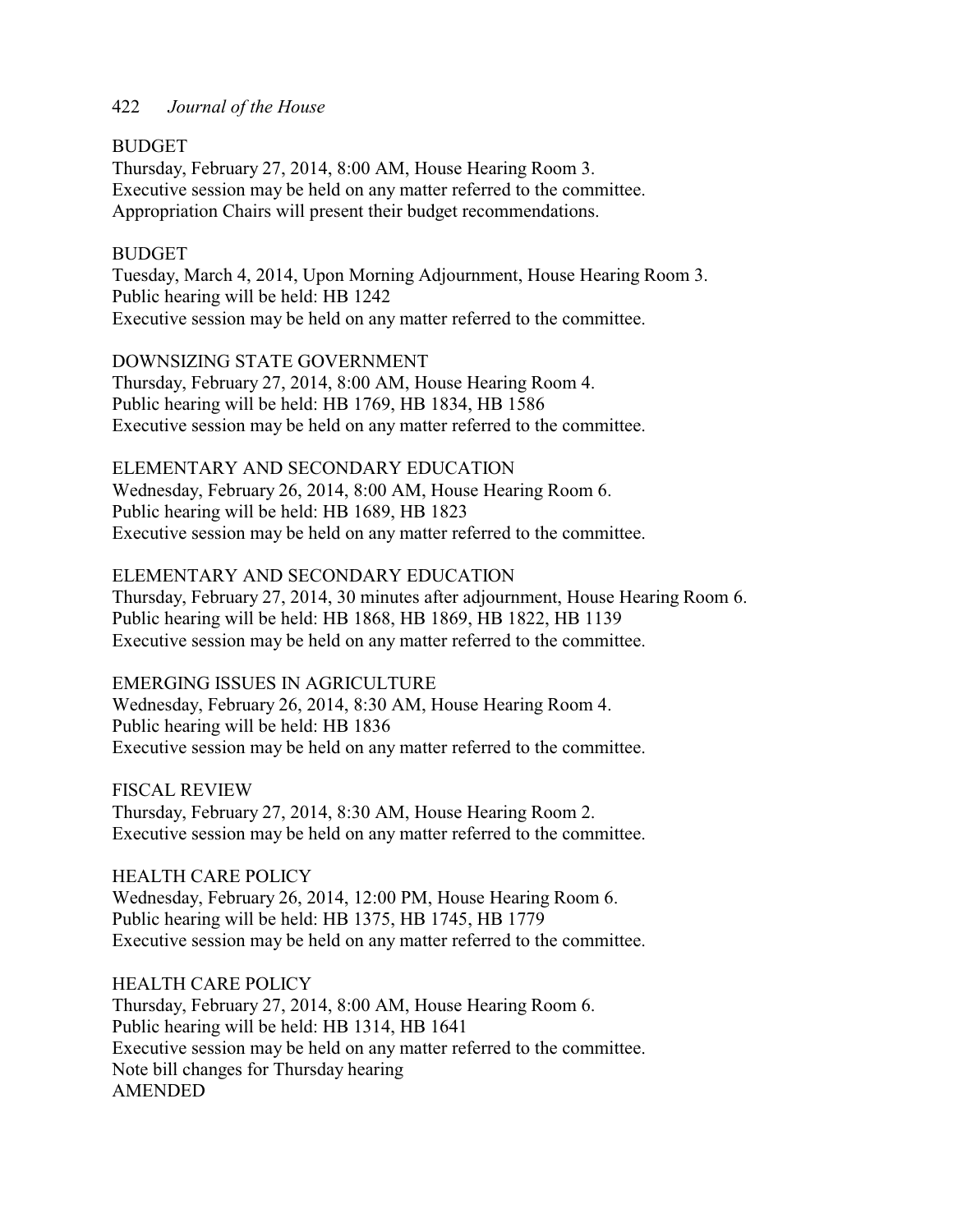### BUDGET

Thursday, February 27, 2014, 8:00 AM, House Hearing Room 3. Executive session may be held on any matter referred to the committee. Appropriation Chairs will present their budget recommendations.

## BUDGET

Tuesday, March 4, 2014, Upon Morning Adjournment, House Hearing Room 3. Public hearing will be held: HB 1242 Executive session may be held on any matter referred to the committee.

## DOWNSIZING STATE GOVERNMENT

Thursday, February 27, 2014, 8:00 AM, House Hearing Room 4. Public hearing will be held: HB 1769, HB 1834, HB 1586 Executive session may be held on any matter referred to the committee.

ELEMENTARY AND SECONDARY EDUCATION Wednesday, February 26, 2014, 8:00 AM, House Hearing Room 6. Public hearing will be held: HB 1689, HB 1823 Executive session may be held on any matter referred to the committee.

## ELEMENTARY AND SECONDARY EDUCATION

Thursday, February 27, 2014, 30 minutes after adjournment, House Hearing Room 6. Public hearing will be held: HB 1868, HB 1869, HB 1822, HB 1139 Executive session may be held on any matter referred to the committee.

#### EMERGING ISSUES IN AGRICULTURE

Wednesday, February 26, 2014, 8:30 AM, House Hearing Room 4. Public hearing will be held: HB 1836 Executive session may be held on any matter referred to the committee.

FISCAL REVIEW Thursday, February 27, 2014, 8:30 AM, House Hearing Room 2. Executive session may be held on any matter referred to the committee.

HEALTH CARE POLICY Wednesday, February 26, 2014, 12:00 PM, House Hearing Room 6. Public hearing will be held: HB 1375, HB 1745, HB 1779 Executive session may be held on any matter referred to the committee.

HEALTH CARE POLICY Thursday, February 27, 2014, 8:00 AM, House Hearing Room 6. Public hearing will be held: HB 1314, HB 1641 Executive session may be held on any matter referred to the committee. Note bill changes for Thursday hearing AMENDED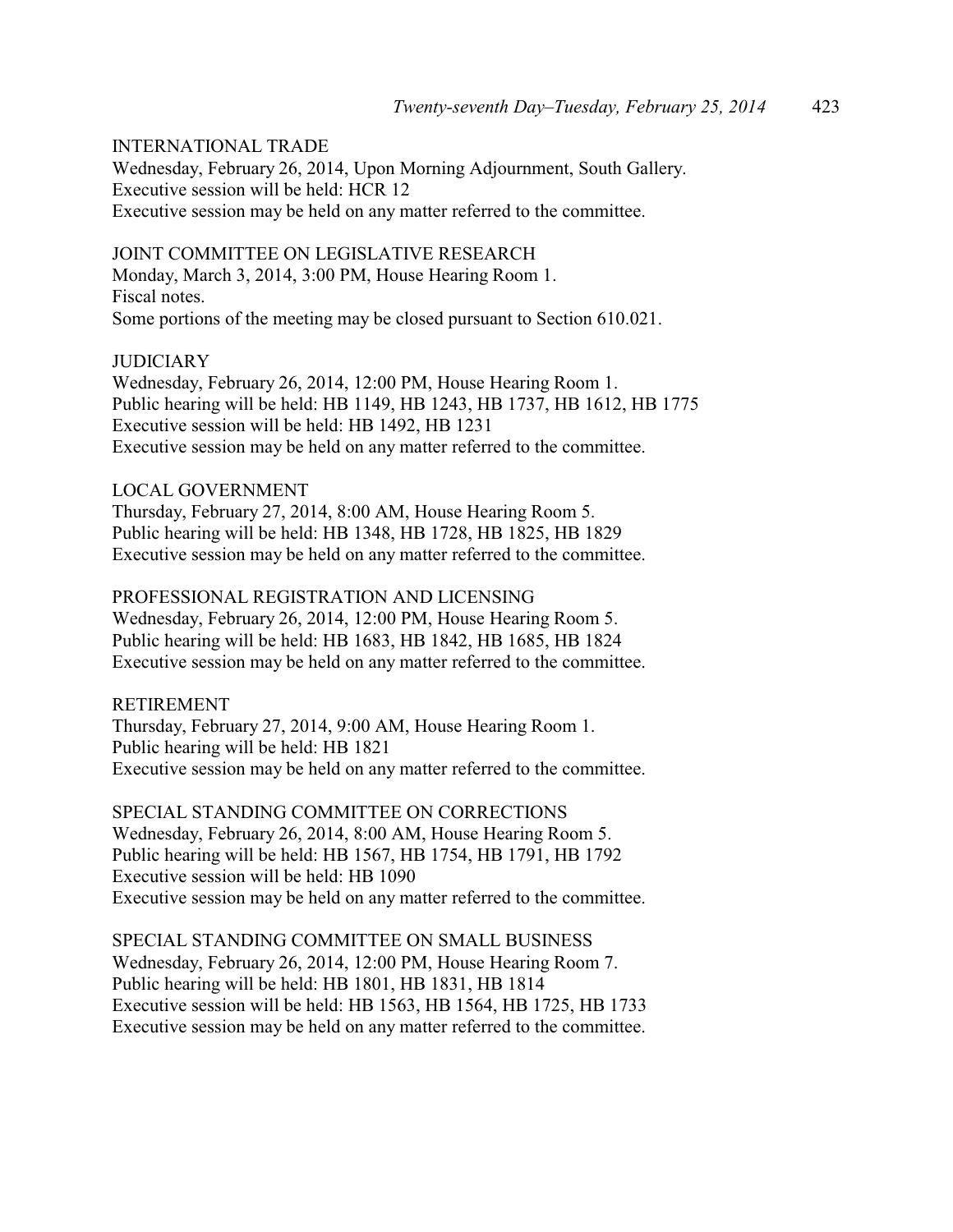### INTERNATIONAL TRADE

Wednesday, February 26, 2014, Upon Morning Adjournment, South Gallery. Executive session will be held: HCR 12 Executive session may be held on any matter referred to the committee.

#### JOINT COMMITTEE ON LEGISLATIVE RESEARCH

Monday, March 3, 2014, 3:00 PM, House Hearing Room 1. Fiscal notes. Some portions of the meeting may be closed pursuant to Section 610.021.

#### JUDICIARY

Wednesday, February 26, 2014, 12:00 PM, House Hearing Room 1. Public hearing will be held: HB 1149, HB 1243, HB 1737, HB 1612, HB 1775 Executive session will be held: HB 1492, HB 1231 Executive session may be held on any matter referred to the committee.

#### LOCAL GOVERNMENT

Thursday, February 27, 2014, 8:00 AM, House Hearing Room 5. Public hearing will be held: HB 1348, HB 1728, HB 1825, HB 1829 Executive session may be held on any matter referred to the committee.

#### PROFESSIONAL REGISTRATION AND LICENSING

Wednesday, February 26, 2014, 12:00 PM, House Hearing Room 5. Public hearing will be held: HB 1683, HB 1842, HB 1685, HB 1824 Executive session may be held on any matter referred to the committee.

#### RETIREMENT

Thursday, February 27, 2014, 9:00 AM, House Hearing Room 1. Public hearing will be held: HB 1821 Executive session may be held on any matter referred to the committee.

SPECIAL STANDING COMMITTEE ON CORRECTIONS Wednesday, February 26, 2014, 8:00 AM, House Hearing Room 5. Public hearing will be held: HB 1567, HB 1754, HB 1791, HB 1792 Executive session will be held: HB 1090 Executive session may be held on any matter referred to the committee.

SPECIAL STANDING COMMITTEE ON SMALL BUSINESS Wednesday, February 26, 2014, 12:00 PM, House Hearing Room 7. Public hearing will be held: HB 1801, HB 1831, HB 1814 Executive session will be held: HB 1563, HB 1564, HB 1725, HB 1733 Executive session may be held on any matter referred to the committee.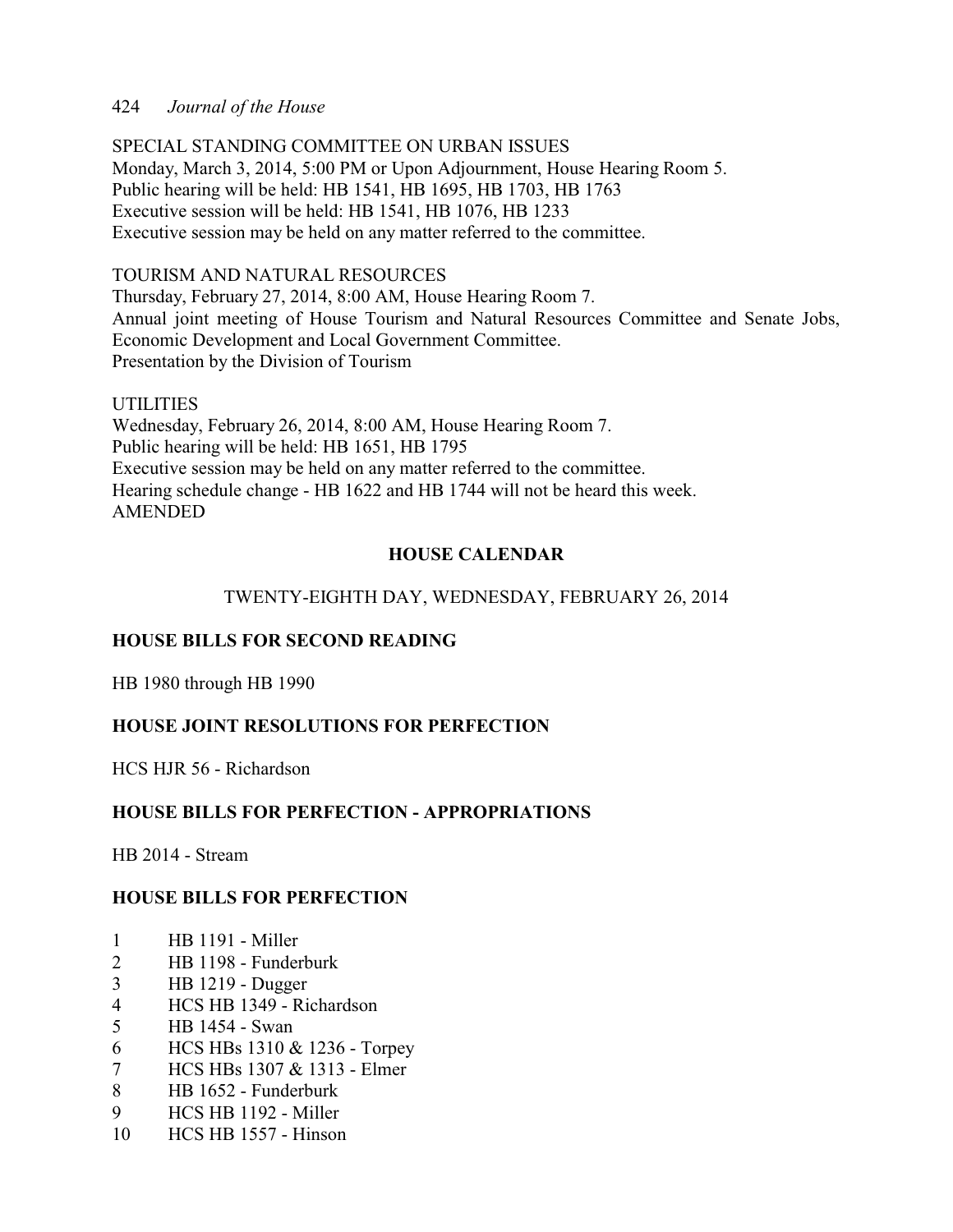SPECIAL STANDING COMMITTEE ON URBAN ISSUES Monday, March 3, 2014, 5:00 PM or Upon Adjournment, House Hearing Room 5. Public hearing will be held: HB 1541, HB 1695, HB 1703, HB 1763 Executive session will be held: HB 1541, HB 1076, HB 1233 Executive session may be held on any matter referred to the committee.

## TOURISM AND NATURAL RESOURCES

Thursday, February 27, 2014, 8:00 AM, House Hearing Room 7. Annual joint meeting of House Tourism and Natural Resources Committee and Senate Jobs, Economic Development and Local Government Committee. Presentation by the Division of Tourism

#### **UTILITIES**

Wednesday, February 26, 2014, 8:00 AM, House Hearing Room 7. Public hearing will be held: HB 1651, HB 1795 Executive session may be held on any matter referred to the committee. Hearing schedule change - HB 1622 and HB 1744 will not be heard this week. AMENDED

## **HOUSE CALENDAR**

## TWENTY-EIGHTH DAY, WEDNESDAY, FEBRUARY 26, 2014

## **HOUSE BILLS FOR SECOND READING**

HB 1980 through HB 1990

## **HOUSE JOINT RESOLUTIONS FOR PERFECTION**

HCS HJR 56 - Richardson

## **HOUSE BILLS FOR PERFECTION - APPROPRIATIONS**

HB 2014 - Stream

## **HOUSE BILLS FOR PERFECTION**

- 1 HB 1191 Miller
- 2 HB 1198 Funderburk
- 3 HB 1219 Dugger
- 4 HCS HB 1349 Richardson
- 5 HB 1454 Swan
- 6 HCS HBs 1310 & 1236 Torpey
- 7 HCS HBs 1307 & 1313 Elmer
- 8 HB 1652 Funderburk
- 9 HCS HB 1192 Miller
- 10 HCS HB 1557 Hinson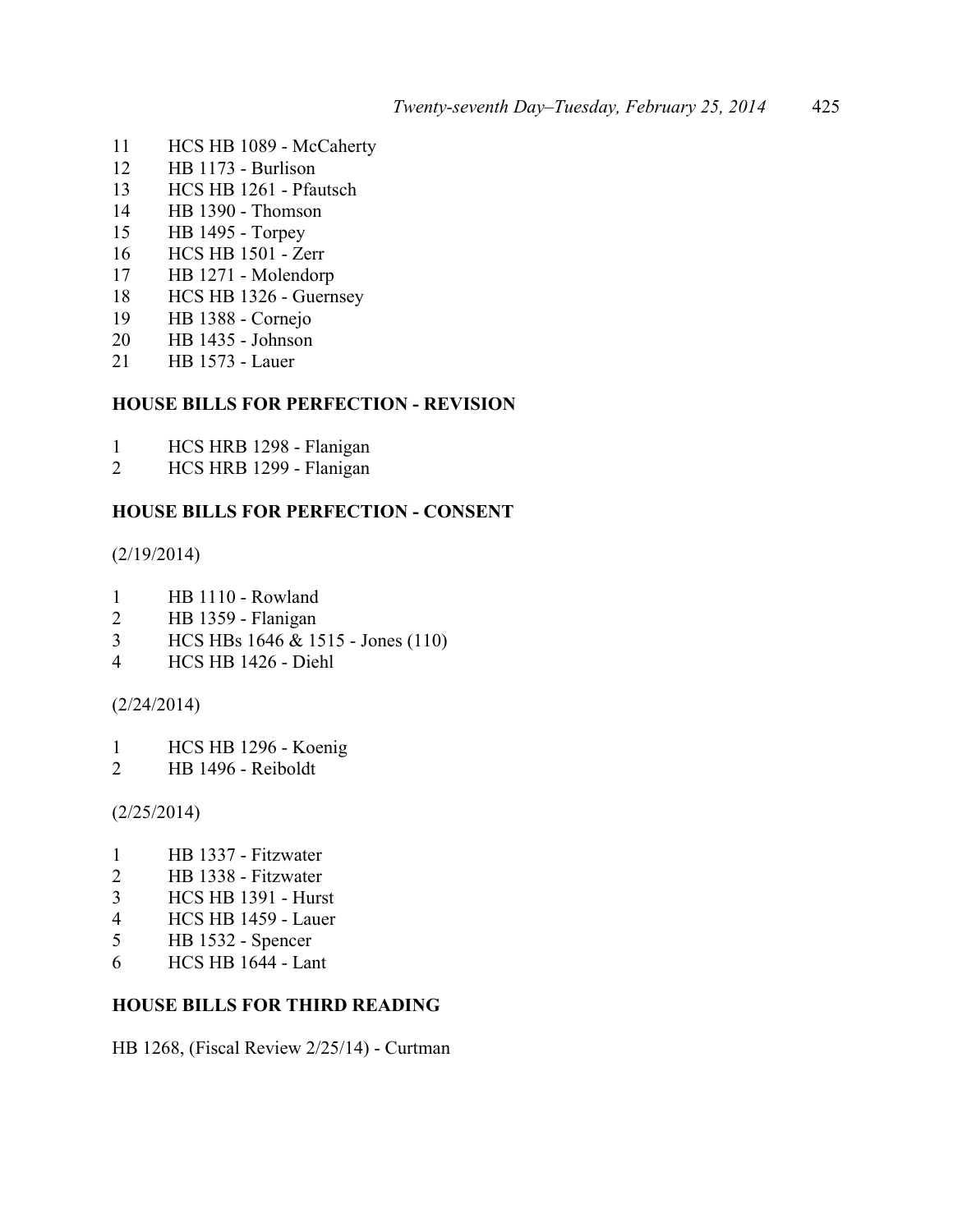- HCS HB 1089 McCaherty
- HB 1173 Burlison
- HCS HB 1261 Pfautsch
- HB 1390 Thomson
- HB 1495 Torpey
- HCS HB 1501 Zerr
- HB 1271 Molendorp
- HCS HB 1326 Guernsey
- HB 1388 Cornejo
- 20 HB 1435 Johnson<br>21 HB 1573 Lauer
- **HB 1573 Lauer**

#### **HOUSE BILLS FOR PERFECTION - REVISION**

- 1 HCS HRB 1298 Flanigan<br>2 HCS HRB 1299 Flanigan
- HCS HRB 1299 Flanigan

## **HOUSE BILLS FOR PERFECTION - CONSENT**

(2/19/2014)

- HB 1110 Rowland
- HB 1359 Flanigan
- HCS HBs 1646 & 1515 Jones (110)
- HCS HB 1426 Diehl

#### (2/24/2014)

- HCS HB 1296 Koenig
- HB 1496 Reiboldt

(2/25/2014)

- HB 1337 Fitzwater
- HB 1338 Fitzwater
- HCS HB 1391 Hurst
- HCS HB 1459 Lauer
- HB 1532 Spencer
- HCS HB 1644 Lant

#### **HOUSE BILLS FOR THIRD READING**

HB 1268, (Fiscal Review 2/25/14) - Curtman